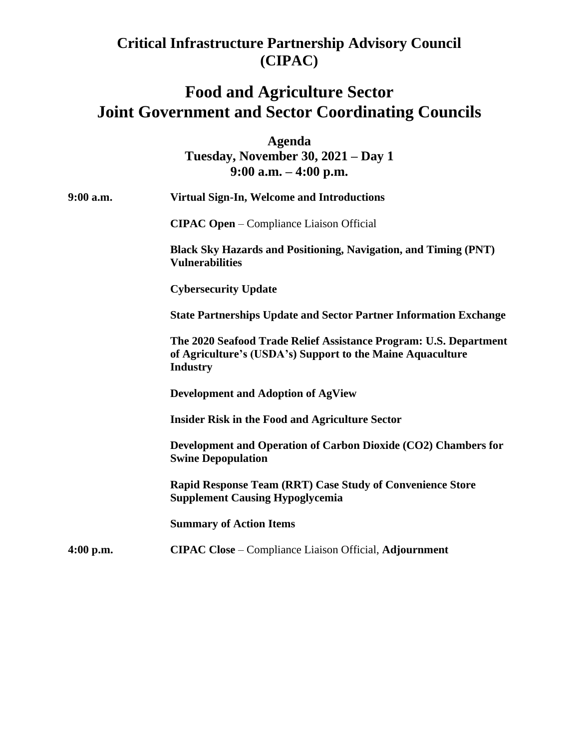## **Critical Infrastructure Partnership Advisory Council (CIPAC)**

## **Food and Agriculture Sector Joint Government and Sector Coordinating Councils**

**Agenda Tuesday, November 30, 2021 – Day 1 9:00 a.m. – 4:00 p.m.**

| $9:00$ a.m. | <b>Virtual Sign-In, Welcome and Introductions</b>                                                                                                  |
|-------------|----------------------------------------------------------------------------------------------------------------------------------------------------|
|             | <b>CIPAC Open</b> – Compliance Liaison Official                                                                                                    |
|             | <b>Black Sky Hazards and Positioning, Navigation, and Timing (PNT)</b><br><b>Vulnerabilities</b>                                                   |
|             | <b>Cybersecurity Update</b>                                                                                                                        |
|             | <b>State Partnerships Update and Sector Partner Information Exchange</b>                                                                           |
|             | The 2020 Seafood Trade Relief Assistance Program: U.S. Department<br>of Agriculture's (USDA's) Support to the Maine Aquaculture<br><b>Industry</b> |
|             | <b>Development and Adoption of AgView</b>                                                                                                          |
|             | <b>Insider Risk in the Food and Agriculture Sector</b>                                                                                             |
|             | Development and Operation of Carbon Dioxide (CO2) Chambers for<br><b>Swine Depopulation</b>                                                        |
|             | <b>Rapid Response Team (RRT) Case Study of Convenience Store</b><br><b>Supplement Causing Hypoglycemia</b>                                         |
|             | <b>Summary of Action Items</b>                                                                                                                     |
| $4:00$ p.m. | <b>CIPAC Close</b> – Compliance Liaison Official, Adjournment                                                                                      |